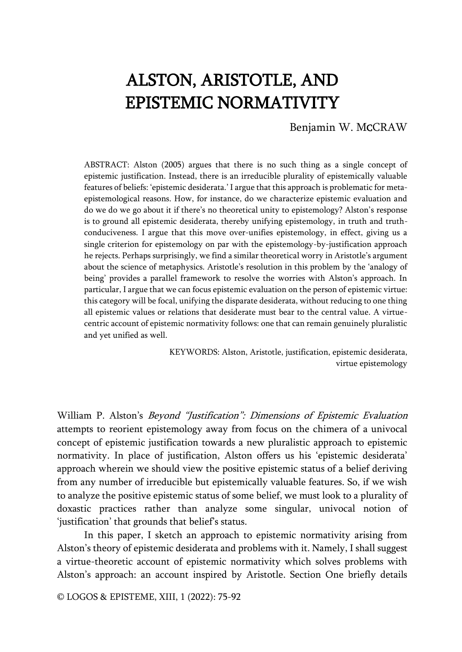# ALSTON, ARISTOTLE, AND EPISTEMIC NORMATIVITY

Benjamin W. MCCRAW

ABSTRACT: Alston (2005) argues that there is no such thing as a single concept of epistemic justification. Instead, there is an irreducible plurality of epistemically valuable features of beliefs: 'epistemic desiderata.' I argue that this approach is problematic for metaepistemological reasons. How, for instance, do we characterize epistemic evaluation and do we do we go about it if there's no theoretical unity to epistemology? Alston's response is to ground all epistemic desiderata, thereby unifying epistemology, in truth and truthconduciveness. I argue that this move over-unifies epistemology, in effect, giving us a single criterion for epistemology on par with the epistemology-by-justification approach he rejects. Perhaps surprisingly, we find a similar theoretical worry in Aristotle's argument about the science of metaphysics. Aristotle's resolution in this problem by the 'analogy of being' provides a parallel framework to resolve the worries with Alston's approach. In particular, I argue that we can focus epistemic evaluation on the person of epistemic virtue: this category will be focal, unifying the disparate desiderata, without reducing to one thing all epistemic values or relations that desiderate must bear to the central value. A virtuecentric account of epistemic normativity follows: one that can remain genuinely pluralistic and yet unified as well.

> KEYWORDS: Alston, Aristotle, justification, epistemic desiderata, virtue epistemology

William P. Alston's Beyond "Justification": Dimensions of Epistemic Evaluation attempts to reorient epistemology away from focus on the chimera of a univocal concept of epistemic justification towards a new pluralistic approach to epistemic normativity. In place of justification, Alston offers us his 'epistemic desiderata' approach wherein we should view the positive epistemic status of a belief deriving from any number of irreducible but epistemically valuable features. So, if we wish to analyze the positive epistemic status of some belief, we must look to a plurality of doxastic practices rather than analyze some singular, univocal notion of 'justification' that grounds that belief's status.

In this paper, I sketch an approach to epistemic normativity arising from Alston's theory of epistemic desiderata and problems with it. Namely, I shall suggest a virtue-theoretic account of epistemic normativity which solves problems with Alston's approach: an account inspired by Aristotle. Section One briefly details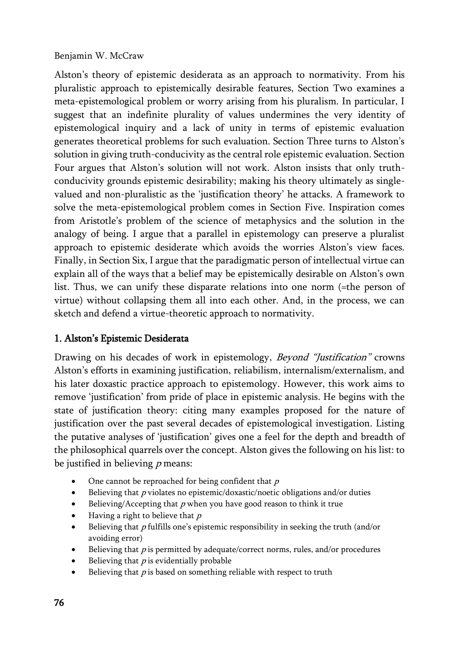Alston's theory of epistemic desiderata as an approach to normativity. From his pluralistic approach to epistemically desirable features, Section Two examines a meta-epistemological problem or worry arising from his pluralism. In particular, I suggest that an indefinite plurality of values undermines the very identity of epistemological inquiry and a lack of unity in terms of epistemic evaluation generates theoretical problems for such evaluation. Section Three turns to Alston's solution in giving truth-conducivity as the central role epistemic evaluation. Section Four argues that Alston's solution will not work. Alston insists that only truthconducivity grounds epistemic desirability; making his theory ultimately as singlevalued and non-pluralistic as the 'justification theory' he attacks. A framework to solve the meta-epistemological problem comes in Section Five. Inspiration comes from Aristotle's problem of the science of metaphysics and the solution in the analogy of being. I argue that a parallel in epistemology can preserve a pluralist approach to epistemic desiderate which avoids the worries Alston's view faces. Finally, in Section Six, I argue that the paradigmatic person of intellectual virtue can explain all of the ways that a belief may be epistemically desirable on Alston's own list. Thus, we can unify these disparate relations into one norm (=the person of virtue) without collapsing them all into each other. And, in the process, we can sketch and defend a virtue-theoretic approach to normativity.

## 1. Alston's Epistemic Desiderata

Drawing on his decades of work in epistemology, *Beyond "Justification"* crowns Alston's efforts in examining justification, reliabilism, internalism/externalism, and his later doxastic practice approach to epistemology. However, this work aims to remove 'justification' from pride of place in epistemic analysis. He begins with the state of justification theory: citing many examples proposed for the nature of justification over the past several decades of epistemological investigation. Listing the putative analyses of 'justification' gives one a feel for the depth and breadth of the philosophical quarrels over the concept. Alston gives the following on his list: to be justified in believing  $p$  means:

- One cannot be reproached for being confident that  $p$
- $\bullet$  Believing that p violates no epistemic/doxastic/noetic obligations and/or duties
- Believing/Accepting that  $p$  when you have good reason to think it true
- Having a right to believe that  $p$
- Believing that  $p$  fulfills one's epistemic responsibility in seeking the truth (and/or avoiding error)
- Believing that  $p$  is permitted by adequate/correct norms, rules, and/or procedures
- Believing that  $p$  is evidentially probable
- Believing that  $p$  is based on something reliable with respect to truth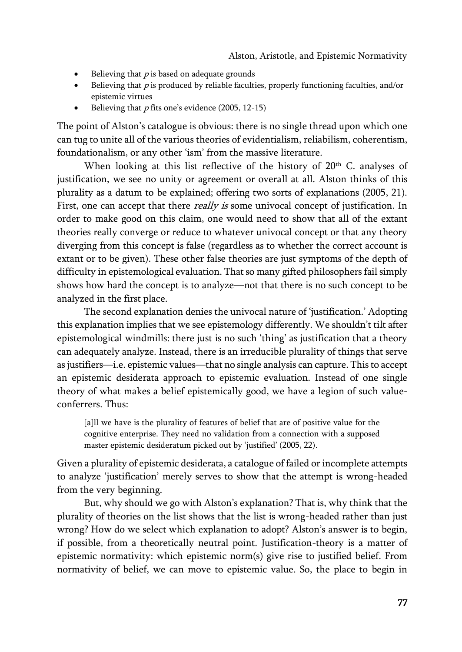- $\bullet$  Believing that *p* is based on adequate grounds
- Believing that  $p$  is produced by reliable faculties, properly functioning faculties, and/or epistemic virtues
- Believing that  $p$  fits one's evidence (2005, 12-15)

The point of Alston's catalogue is obvious: there is no single thread upon which one can tug to unite all of the various theories of evidentialism, reliabilism, coherentism, foundationalism, or any other 'ism' from the massive literature.

When looking at this list reflective of the history of  $20<sup>th</sup>$  C. analyses of justification, we see no unity or agreement or overall at all. Alston thinks of this plurality as a datum to be explained; offering two sorts of explanations (2005, 21). First, one can accept that there *really is* some univocal concept of justification. In order to make good on this claim, one would need to show that all of the extant theories really converge or reduce to whatever univocal concept or that any theory diverging from this concept is false (regardless as to whether the correct account is extant or to be given). These other false theories are just symptoms of the depth of difficulty in epistemological evaluation. That so many gifted philosophers fail simply shows how hard the concept is to analyze—not that there is no such concept to be analyzed in the first place.

The second explanation denies the univocal nature of 'justification.' Adopting this explanation implies that we see epistemology differently. We shouldn't tilt after epistemological windmills: there just is no such 'thing' as justification that a theory can adequately analyze. Instead, there is an irreducible plurality of things that serve as justifiers—i.e. epistemic values—that no single analysis can capture. This to accept an epistemic desiderata approach to epistemic evaluation. Instead of one single theory of what makes a belief epistemically good, we have a legion of such valueconferrers. Thus:

[a]] we have is the plurality of features of belief that are of positive value for the cognitive enterprise. They need no validation from a connection with a supposed master epistemic desideratum picked out by 'justified' (2005, 22).

Given a plurality of epistemic desiderata, a catalogue of failed or incomplete attempts to analyze 'justification' merely serves to show that the attempt is wrong-headed from the very beginning.

But, why should we go with Alston's explanation? That is, why think that the plurality of theories on the list shows that the list is wrong-headed rather than just wrong? How do we select which explanation to adopt? Alston's answer is to begin, if possible, from a theoretically neutral point. Justification-theory is a matter of epistemic normativity: which epistemic norm(s) give rise to justified belief. From normativity of belief, we can move to epistemic value. So, the place to begin in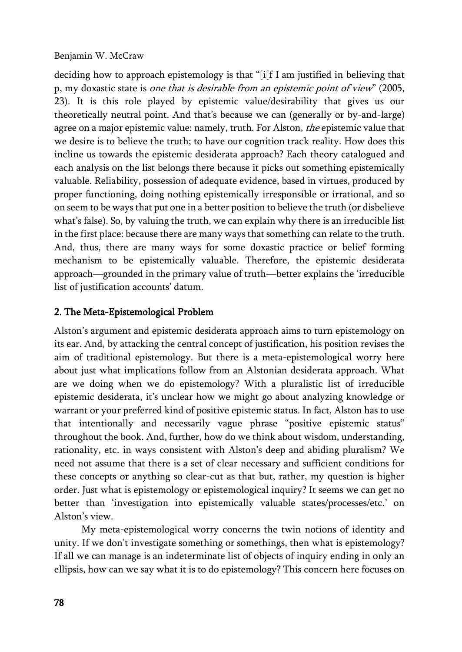deciding how to approach epistemology is that "[i[f I am justified in believing that p, my doxastic state is one that is desirable from an epistemic point of view" (2005, 23). It is this role played by epistemic value/desirability that gives us our theoretically neutral point. And that's because we can (generally or by-and-large) agree on a major epistemic value: namely, truth. For Alston, the epistemic value that we desire is to believe the truth; to have our cognition track reality. How does this incline us towards the epistemic desiderata approach? Each theory catalogued and each analysis on the list belongs there because it picks out something epistemically valuable. Reliability, possession of adequate evidence, based in virtues, produced by proper functioning, doing nothing epistemically irresponsible or irrational, and so on seem to be ways that put one in a better position to believe the truth (or disbelieve what's false). So, by valuing the truth, we can explain why there is an irreducible list in the first place: because there are many ways that something can relate to the truth. And, thus, there are many ways for some doxastic practice or belief forming mechanism to be epistemically valuable. Therefore, the epistemic desiderata approach—grounded in the primary value of truth—better explains the 'irreducible list of justification accounts' datum.

## 2. The Meta-Epistemological Problem

Alston's argument and epistemic desiderata approach aims to turn epistemology on its ear. And, by attacking the central concept of justification, his position revises the aim of traditional epistemology. But there is a meta-epistemological worry here about just what implications follow from an Alstonian desiderata approach. What are we doing when we do epistemology? With a pluralistic list of irreducible epistemic desiderata, it's unclear how we might go about analyzing knowledge or warrant or your preferred kind of positive epistemic status. In fact, Alston has to use that intentionally and necessarily vague phrase "positive epistemic status" throughout the book. And, further, how do we think about wisdom, understanding, rationality, etc. in ways consistent with Alston's deep and abiding pluralism? We need not assume that there is a set of clear necessary and sufficient conditions for these concepts or anything so clear-cut as that but, rather, my question is higher order. Just what is epistemology or epistemological inquiry? It seems we can get no better than 'investigation into epistemically valuable states/processes/etc.' on Alston's view.

My meta-epistemological worry concerns the twin notions of identity and unity. If we don't investigate something or somethings, then what is epistemology? If all we can manage is an indeterminate list of objects of inquiry ending in only an ellipsis, how can we say what it is to do epistemology? This concern here focuses on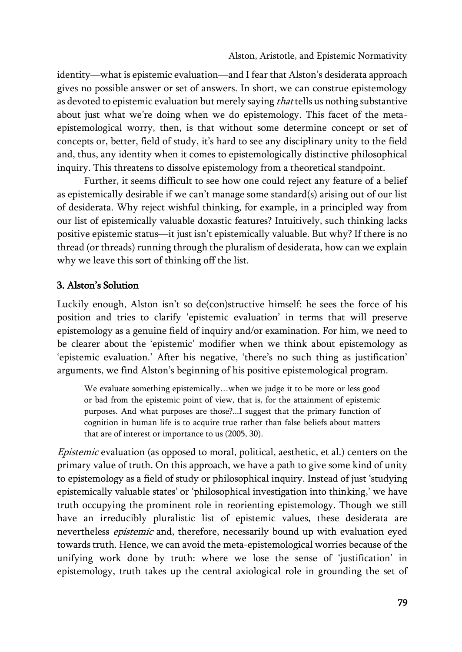identity—what is epistemic evaluation—and I fear that Alston's desiderata approach gives no possible answer or set of answers. In short, we can construe epistemology as devoted to epistemic evaluation but merely saying that tells us nothing substantive about just what we're doing when we do epistemology. This facet of the metaepistemological worry, then, is that without some determine concept or set of concepts or, better, field of study, it's hard to see any disciplinary unity to the field and, thus, any identity when it comes to epistemologically distinctive philosophical inquiry. This threatens to dissolve epistemology from a theoretical standpoint.

Further, it seems difficult to see how one could reject any feature of a belief as epistemically desirable if we can't manage some standard(s) arising out of our list of desiderata. Why reject wishful thinking, for example, in a principled way from our list of epistemically valuable doxastic features? Intuitively, such thinking lacks positive epistemic status—it just isn't epistemically valuable. But why? If there is no thread (or threads) running through the pluralism of desiderata, how can we explain why we leave this sort of thinking off the list.

## 3. Alston's Solution

Luckily enough, Alston isn't so de(con)structive himself: he sees the force of his position and tries to clarify 'epistemic evaluation' in terms that will preserve epistemology as a genuine field of inquiry and/or examination. For him, we need to be clearer about the 'epistemic' modifier when we think about epistemology as 'epistemic evaluation.' After his negative, 'there's no such thing as justification' arguments, we find Alston's beginning of his positive epistemological program.

We evaluate something epistemically…when we judge it to be more or less good or bad from the epistemic point of view, that is, for the attainment of epistemic purposes. And what purposes are those?...I suggest that the primary function of cognition in human life is to acquire true rather than false beliefs about matters that are of interest or importance to us (2005, 30).

Epistemic evaluation (as opposed to moral, political, aesthetic, et al.) centers on the primary value of truth. On this approach, we have a path to give some kind of unity to epistemology as a field of study or philosophical inquiry. Instead of just 'studying epistemically valuable states' or 'philosophical investigation into thinking,' we have truth occupying the prominent role in reorienting epistemology. Though we still have an irreducibly pluralistic list of epistemic values, these desiderata are nevertheless epistemic and, therefore, necessarily bound up with evaluation eyed towards truth. Hence, we can avoid the meta-epistemological worries because of the unifying work done by truth: where we lose the sense of 'justification' in epistemology, truth takes up the central axiological role in grounding the set of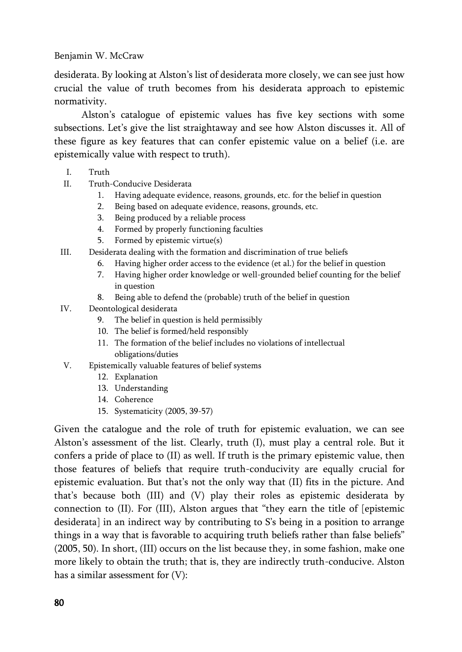desiderata. By looking at Alston's list of desiderata more closely, we can see just how crucial the value of truth becomes from his desiderata approach to epistemic normativity.

Alston's catalogue of epistemic values has five key sections with some subsections. Let's give the list straightaway and see how Alston discusses it. All of these figure as key features that can confer epistemic value on a belief (i.e. are epistemically value with respect to truth).

- I. Truth
- II. Truth-Conducive Desiderata
	- 1. Having adequate evidence, reasons, grounds, etc. for the belief in question
	- 2. Being based on adequate evidence, reasons, grounds, etc.
	- 3. Being produced by a reliable process
	- 4. Formed by properly functioning faculties
	- 5. Formed by epistemic virtue(s)
- III. Desiderata dealing with the formation and discrimination of true beliefs
	- 6. Having higher order access to the evidence (et al.) for the belief in question
	- 7. Having higher order knowledge or well-grounded belief counting for the belief in question
	- 8. Being able to defend the (probable) truth of the belief in question
- IV. Deontological desiderata
	- 9. The belief in question is held permissibly
	- 10. The belief is formed/held responsibly
	- 11. The formation of the belief includes no violations of intellectual obligations/duties
- V. Epistemically valuable features of belief systems
	- 12. Explanation
	- 13. Understanding
	- 14. Coherence
	- 15. Systematicity (2005, 39-57)

Given the catalogue and the role of truth for epistemic evaluation, we can see Alston's assessment of the list. Clearly, truth (I), must play a central role. But it confers a pride of place to (II) as well. If truth is the primary epistemic value, then those features of beliefs that require truth-conducivity are equally crucial for epistemic evaluation. But that's not the only way that (II) fits in the picture. And that's because both (III) and (V) play their roles as epistemic desiderata by connection to (II). For (III), Alston argues that "they earn the title of [epistemic desiderata] in an indirect way by contributing to S's being in a position to arrange things in a way that is favorable to acquiring truth beliefs rather than false beliefs" (2005, 50). In short, (III) occurs on the list because they, in some fashion, make one more likely to obtain the truth; that is, they are indirectly truth-conducive. Alston has a similar assessment for (V):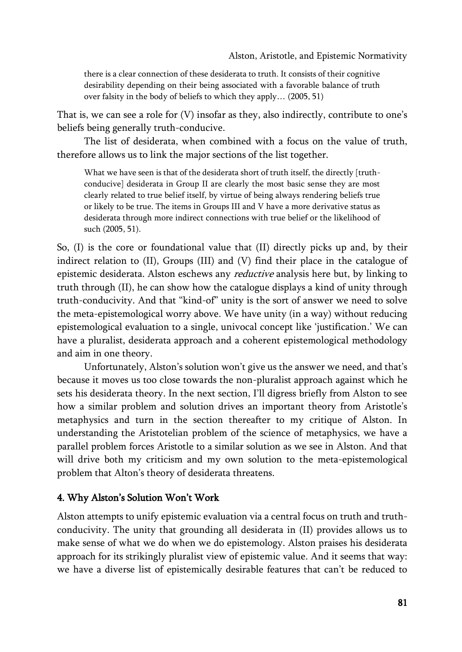there is a clear connection of these desiderata to truth. It consists of their cognitive desirability depending on their being associated with a favorable balance of truth over falsity in the body of beliefs to which they apply… (2005, 51)

That is, we can see a role for (V) insofar as they, also indirectly, contribute to one's beliefs being generally truth-conducive.

The list of desiderata, when combined with a focus on the value of truth, therefore allows us to link the major sections of the list together.

What we have seen is that of the desiderata short of truth itself, the directly [truthconducive] desiderata in Group II are clearly the most basic sense they are most clearly related to true belief itself, by virtue of being always rendering beliefs true or likely to be true. The items in Groups III and V have a more derivative status as desiderata through more indirect connections with true belief or the likelihood of such (2005, 51).

So, (I) is the core or foundational value that (II) directly picks up and, by their indirect relation to (II), Groups (III) and (V) find their place in the catalogue of epistemic desiderata. Alston eschews any *reductive* analysis here but, by linking to truth through (II), he can show how the catalogue displays a kind of unity through truth-conducivity. And that "kind-of" unity is the sort of answer we need to solve the meta-epistemological worry above. We have unity (in a way) without reducing epistemological evaluation to a single, univocal concept like 'justification.' We can have a pluralist, desiderata approach and a coherent epistemological methodology and aim in one theory.

Unfortunately, Alston's solution won't give us the answer we need, and that's because it moves us too close towards the non-pluralist approach against which he sets his desiderata theory. In the next section, I'll digress briefly from Alston to see how a similar problem and solution drives an important theory from Aristotle's metaphysics and turn in the section thereafter to my critique of Alston. In understanding the Aristotelian problem of the science of metaphysics, we have a parallel problem forces Aristotle to a similar solution as we see in Alston. And that will drive both my criticism and my own solution to the meta-epistemological problem that Alton's theory of desiderata threatens.

## 4. Why Alston's Solution Won't Work

Alston attempts to unify epistemic evaluation via a central focus on truth and truthconducivity. The unity that grounding all desiderata in (II) provides allows us to make sense of what we do when we do epistemology. Alston praises his desiderata approach for its strikingly pluralist view of epistemic value. And it seems that way: we have a diverse list of epistemically desirable features that can't be reduced to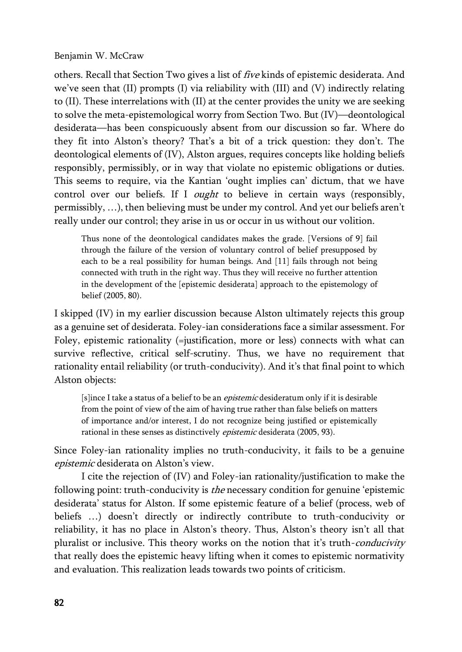others. Recall that Section Two gives a list of  $five$  kinds of epistemic desiderata. And we've seen that (II) prompts (I) via reliability with (III) and (V) indirectly relating to (II). These interrelations with (II) at the center provides the unity we are seeking to solve the meta-epistemological worry from Section Two. But (IV)—deontological desiderata—has been conspicuously absent from our discussion so far. Where do they fit into Alston's theory? That's a bit of a trick question: they don't. The deontological elements of (IV), Alston argues, requires concepts like holding beliefs responsibly, permissibly, or in way that violate no epistemic obligations or duties. This seems to require, via the Kantian 'ought implies can' dictum, that we have control over our beliefs. If I *ought* to believe in certain ways (responsibly, permissibly, …), then believing must be under my control. And yet our beliefs aren't really under our control; they arise in us or occur in us without our volition.

Thus none of the deontological candidates makes the grade. [Versions of 9] fail through the failure of the version of voluntary control of belief presupposed by each to be a real possibility for human beings. And [11] fails through not being connected with truth in the right way. Thus they will receive no further attention in the development of the [epistemic desiderata] approach to the epistemology of belief (2005, 80).

I skipped (IV) in my earlier discussion because Alston ultimately rejects this group as a genuine set of desiderata. Foley-ian considerations face a similar assessment. For Foley, epistemic rationality (=justification, more or less) connects with what can survive reflective, critical self-scrutiny. Thus, we have no requirement that rationality entail reliability (or truth-conducivity). And it's that final point to which Alston objects:

[s]ince I take a status of a belief to be an *epistemic* desideratum only if it is desirable from the point of view of the aim of having true rather than false beliefs on matters of importance and/or interest, I do not recognize being justified or epistemically rational in these senses as distinctively *epistemic* desiderata (2005, 93).

Since Foley-ian rationality implies no truth-conducivity, it fails to be a genuine epistemic desiderata on Alston's view.

I cite the rejection of (IV) and Foley-ian rationality/justification to make the following point: truth-conducivity is *the* necessary condition for genuine 'epistemic desiderata' status for Alston. If some epistemic feature of a belief (process, web of beliefs …) doesn't directly or indirectly contribute to truth-conducivity or reliability, it has no place in Alston's theory. Thus, Alston's theory isn't all that pluralist or inclusive. This theory works on the notion that it's truth-conducivity that really does the epistemic heavy lifting when it comes to epistemic normativity and evaluation. This realization leads towards two points of criticism.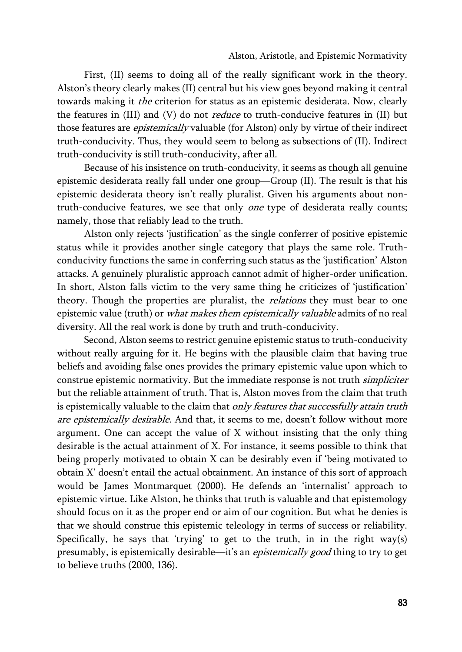First, (II) seems to doing all of the really significant work in the theory. Alston's theory clearly makes (II) central but his view goes beyond making it central towards making it the criterion for status as an epistemic desiderata. Now, clearly the features in  $(III)$  and  $(V)$  do not *reduce* to truth-conducive features in  $(II)$  but those features are *epistemically* valuable (for Alston) only by virtue of their indirect truth-conducivity. Thus, they would seem to belong as subsections of (II). Indirect truth-conducivity is still truth-conducivity, after all.

Because of his insistence on truth-conducivity, it seems as though all genuine epistemic desiderata really fall under one group—Group (II). The result is that his epistemic desiderata theory isn't really pluralist. Given his arguments about nontruth-conducive features, we see that only *one* type of desiderata really counts; namely, those that reliably lead to the truth.

Alston only rejects 'justification' as the single conferrer of positive epistemic status while it provides another single category that plays the same role. Truthconducivity functions the same in conferring such status as the 'justification' Alston attacks. A genuinely pluralistic approach cannot admit of higher-order unification. In short, Alston falls victim to the very same thing he criticizes of 'justification' theory. Though the properties are pluralist, the *relations* they must bear to one epistemic value (truth) or what makes them epistemically valuable admits of no real diversity. All the real work is done by truth and truth-conducivity.

Second, Alston seems to restrict genuine epistemic status to truth-conducivity without really arguing for it. He begins with the plausible claim that having true beliefs and avoiding false ones provides the primary epistemic value upon which to construe epistemic normativity. But the immediate response is not truth *simpliciter* but the reliable attainment of truth. That is, Alston moves from the claim that truth is epistemically valuable to the claim that only features that successfully attain truth are epistemically desirable. And that, it seems to me, doesn't follow without more argument. One can accept the value of X without insisting that the only thing desirable is the actual attainment of X. For instance, it seems possible to think that being properly motivated to obtain X can be desirably even if 'being motivated to obtain X' doesn't entail the actual obtainment. An instance of this sort of approach would be James Montmarquet (2000). He defends an 'internalist' approach to epistemic virtue. Like Alston, he thinks that truth is valuable and that epistemology should focus on it as the proper end or aim of our cognition. But what he denies is that we should construe this epistemic teleology in terms of success or reliability. Specifically, he says that 'trying' to get to the truth, in in the right way(s) presumably, is epistemically desirable—it's an epistemically good thing to try to get to believe truths (2000, 136).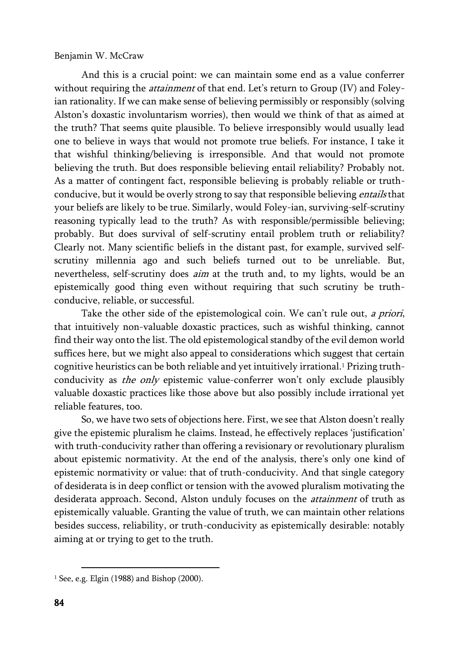And this is a crucial point: we can maintain some end as a value conferrer without requiring the *attainment* of that end. Let's return to Group (IV) and Foleyian rationality. If we can make sense of believing permissibly or responsibly (solving Alston's doxastic involuntarism worries), then would we think of that as aimed at the truth? That seems quite plausible. To believe irresponsibly would usually lead one to believe in ways that would not promote true beliefs. For instance, I take it that wishful thinking/believing is irresponsible. And that would not promote believing the truth. But does responsible believing entail reliability? Probably not. As a matter of contingent fact, responsible believing is probably reliable or truthconducive, but it would be overly strong to say that responsible believing *entails* that your beliefs are likely to be true. Similarly, would Foley-ian, surviving-self-scrutiny reasoning typically lead to the truth? As with responsible/permissible believing; probably. But does survival of self-scrutiny entail problem truth or reliability? Clearly not. Many scientific beliefs in the distant past, for example, survived selfscrutiny millennia ago and such beliefs turned out to be unreliable. But, nevertheless, self-scrutiny does aim at the truth and, to my lights, would be an epistemically good thing even without requiring that such scrutiny be truthconducive, reliable, or successful.

Take the other side of the epistemological coin. We can't rule out, a priori, that intuitively non-valuable doxastic practices, such as wishful thinking, cannot find their way onto the list. The old epistemological standby of the evil demon world suffices here, but we might also appeal to considerations which suggest that certain cognitive heuristics can be both reliable and yet intuitively irrational.<sup>1</sup> Prizing truthconducivity as *the only* epistemic value-conferrer won't only exclude plausibly valuable doxastic practices like those above but also possibly include irrational yet reliable features, too.

So, we have two sets of objections here. First, we see that Alston doesn't really give the epistemic pluralism he claims. Instead, he effectively replaces 'justification' with truth-conducivity rather than offering a revisionary or revolutionary pluralism about epistemic normativity. At the end of the analysis, there's only one kind of epistemic normativity or value: that of truth-conducivity. And that single category of desiderata is in deep conflict or tension with the avowed pluralism motivating the desiderata approach. Second, Alston unduly focuses on the *attainment* of truth as epistemically valuable. Granting the value of truth, we can maintain other relations besides success, reliability, or truth-conducivity as epistemically desirable: notably aiming at or trying to get to the truth.

 $\overline{\phantom{a}}$ 

 $1$  See, e.g. Elgin (1988) and Bishop (2000).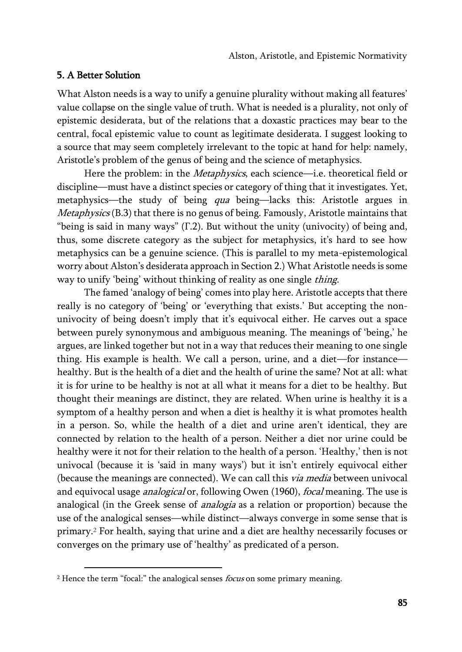### 5. A Better Solution

 $\overline{\phantom{a}}$ 

What Alston needs is a way to unify a genuine plurality without making all features' value collapse on the single value of truth. What is needed is a plurality, not only of epistemic desiderata, but of the relations that a doxastic practices may bear to the central, focal epistemic value to count as legitimate desiderata. I suggest looking to a source that may seem completely irrelevant to the topic at hand for help: namely, Aristotle's problem of the genus of being and the science of metaphysics.

Here the problem: in the *Metaphysics*, each science—i.e. theoretical field or discipline—must have a distinct species or category of thing that it investigates. Yet, metaphysics—the study of being qua being—lacks this: Aristotle argues in Metaphysics (B.3) that there is no genus of being. Famously, Aristotle maintains that "being is said in many ways" (Γ.2). But without the unity (univocity) of being and, thus, some discrete category as the subject for metaphysics, it's hard to see how metaphysics can be a genuine science. (This is parallel to my meta-epistemological worry about Alston's desiderata approach in Section 2.) What Aristotle needs is some way to unify 'being' without thinking of reality as one single thing.

The famed 'analogy of being' comes into play here. Aristotle accepts that there really is no category of 'being' or 'everything that exists.' But accepting the nonunivocity of being doesn't imply that it's equivocal either. He carves out a space between purely synonymous and ambiguous meaning. The meanings of 'being,' he argues, are linked together but not in a way that reduces their meaning to one single thing. His example is health. We call a person, urine, and a diet—for instance healthy. But is the health of a diet and the health of urine the same? Not at all: what it is for urine to be healthy is not at all what it means for a diet to be healthy. But thought their meanings are distinct, they are related. When urine is healthy it is a symptom of a healthy person and when a diet is healthy it is what promotes health in a person. So, while the health of a diet and urine aren't identical, they are connected by relation to the health of a person. Neither a diet nor urine could be healthy were it not for their relation to the health of a person. 'Healthy,' then is not univocal (because it is 'said in many ways') but it isn't entirely equivocal either (because the meanings are connected). We can call this *via media* between univocal and equivocal usage *analogical* or, following Owen (1960), *focal* meaning. The use is analogical (in the Greek sense of analogia as a relation or proportion) because the use of the analogical senses—while distinct—always converge in some sense that is primary.<sup>2</sup> For health, saying that urine and a diet are healthy necessarily focuses or converges on the primary use of 'healthy' as predicated of a person.

 $2$  Hence the term "focal:" the analogical senses *focus* on some primary meaning.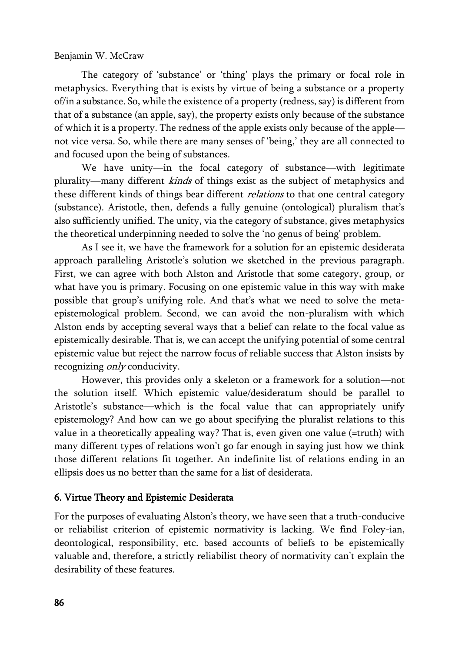The category of 'substance' or 'thing' plays the primary or focal role in metaphysics. Everything that is exists by virtue of being a substance or a property of/in a substance. So, while the existence of a property (redness, say) is different from that of a substance (an apple, say), the property exists only because of the substance of which it is a property. The redness of the apple exists only because of the apple not vice versa. So, while there are many senses of 'being,' they are all connected to and focused upon the being of substances.

We have unity—in the focal category of substance—with legitimate plurality—many different kinds of things exist as the subject of metaphysics and these different kinds of things bear different *relations* to that one central category (substance). Aristotle, then, defends a fully genuine (ontological) pluralism that's also sufficiently unified. The unity, via the category of substance, gives metaphysics the theoretical underpinning needed to solve the 'no genus of being' problem.

As I see it, we have the framework for a solution for an epistemic desiderata approach paralleling Aristotle's solution we sketched in the previous paragraph. First, we can agree with both Alston and Aristotle that some category, group, or what have you is primary. Focusing on one epistemic value in this way with make possible that group's unifying role. And that's what we need to solve the metaepistemological problem. Second, we can avoid the non-pluralism with which Alston ends by accepting several ways that a belief can relate to the focal value as epistemically desirable. That is, we can accept the unifying potential of some central epistemic value but reject the narrow focus of reliable success that Alston insists by recognizing *only* conducivity.

However, this provides only a skeleton or a framework for a solution—not the solution itself. Which epistemic value/desideratum should be parallel to Aristotle's substance—which is the focal value that can appropriately unify epistemology? And how can we go about specifying the pluralist relations to this value in a theoretically appealing way? That is, even given one value (=truth) with many different types of relations won't go far enough in saying just how we think those different relations fit together. An indefinite list of relations ending in an ellipsis does us no better than the same for a list of desiderata.

## 6. Virtue Theory and Epistemic Desiderata

For the purposes of evaluating Alston's theory, we have seen that a truth-conducive or reliabilist criterion of epistemic normativity is lacking. We find Foley-ian, deontological, responsibility, etc. based accounts of beliefs to be epistemically valuable and, therefore, a strictly reliabilist theory of normativity can't explain the desirability of these features.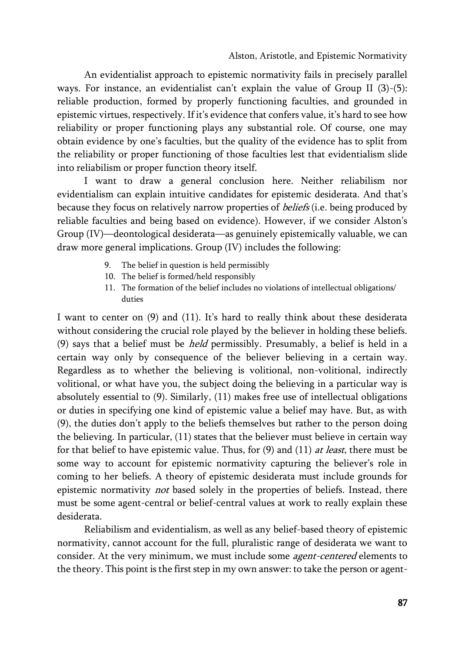An evidentialist approach to epistemic normativity fails in precisely parallel ways. For instance, an evidentialist can't explain the value of Group II (3)-(5): reliable production, formed by properly functioning faculties, and grounded in epistemic virtues, respectively. If it's evidence that confers value, it's hard to see how reliability or proper functioning plays any substantial role. Of course, one may obtain evidence by one's faculties, but the quality of the evidence has to split from the reliability or proper functioning of those faculties lest that evidentialism slide into reliabilism or proper function theory itself.

I want to draw a general conclusion here. Neither reliabilism nor evidentialism can explain intuitive candidates for epistemic desiderata. And that's because they focus on relatively narrow properties of *beliefs* (i.e. being produced by reliable faculties and being based on evidence). However, if we consider Alston's Group (IV)—deontological desiderata—as genuinely epistemically valuable, we can draw more general implications. Group (IV) includes the following:

- 9. The belief in question is held permissibly
- 10. The belief is formed/held responsibly
- 11. The formation of the belief includes no violations of intellectual obligations/ duties

I want to center on (9) and (11). It's hard to really think about these desiderata without considering the crucial role played by the believer in holding these beliefs. (9) says that a belief must be *held* permissibly. Presumably, a belief is held in a certain way only by consequence of the believer believing in a certain way. Regardless as to whether the believing is volitional, non-volitional, indirectly volitional, or what have you, the subject doing the believing in a particular way is absolutely essential to (9). Similarly, (11) makes free use of intellectual obligations or duties in specifying one kind of epistemic value a belief may have. But, as with (9), the duties don't apply to the beliefs themselves but rather to the person doing the believing. In particular, (11) states that the believer must believe in certain way for that belief to have epistemic value. Thus, for  $(9)$  and  $(11)$  at least, there must be some way to account for epistemic normativity capturing the believer's role in coming to her beliefs. A theory of epistemic desiderata must include grounds for epistemic normativity not based solely in the properties of beliefs. Instead, there must be some agent-central or belief-central values at work to really explain these desiderata.

Reliabilism and evidentialism, as well as any belief-based theory of epistemic normativity, cannot account for the full, pluralistic range of desiderata we want to consider. At the very minimum, we must include some agent-centered elements to the theory. This point is the first step in my own answer: to take the person or agent-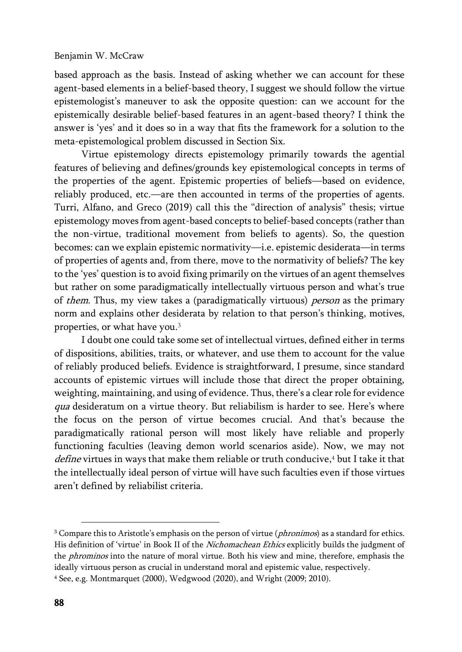based approach as the basis. Instead of asking whether we can account for these agent-based elements in a belief-based theory, I suggest we should follow the virtue epistemologist's maneuver to ask the opposite question: can we account for the epistemically desirable belief-based features in an agent-based theory? I think the answer is 'yes' and it does so in a way that fits the framework for a solution to the meta-epistemological problem discussed in Section Six.

Virtue epistemology directs epistemology primarily towards the agential features of believing and defines/grounds key epistemological concepts in terms of the properties of the agent. Epistemic properties of beliefs—based on evidence, reliably produced, etc.—are then accounted in terms of the properties of agents. Turri, Alfano, and Greco (2019) call this the "direction of analysis" thesis; virtue epistemology moves from agent-based concepts to belief-based concepts (rather than the non-virtue, traditional movement from beliefs to agents). So, the question becomes: can we explain epistemic normativity—i.e. epistemic desiderata—in terms of properties of agents and, from there, move to the normativity of beliefs? The key to the 'yes' question is to avoid fixing primarily on the virtues of an agent themselves but rather on some paradigmatically intellectually virtuous person and what's true of them. Thus, my view takes a (paradigmatically virtuous) person as the primary norm and explains other desiderata by relation to that person's thinking, motives, properties, or what have you.<sup>3</sup>

I doubt one could take some set of intellectual virtues, defined either in terms of dispositions, abilities, traits, or whatever, and use them to account for the value of reliably produced beliefs. Evidence is straightforward, I presume, since standard accounts of epistemic virtues will include those that direct the proper obtaining, weighting, maintaining, and using of evidence. Thus, there's a clear role for evidence qua desideratum on a virtue theory. But reliabilism is harder to see. Here's where the focus on the person of virtue becomes crucial. And that's because the paradigmatically rational person will most likely have reliable and properly functioning faculties (leaving demon world scenarios aside). Now, we may not define virtues in ways that make them reliable or truth conducive, <sup>4</sup> but I take it that the intellectually ideal person of virtue will have such faculties even if those virtues aren't defined by reliabilist criteria.

 $\overline{\phantom{a}}$ 

 $3$  Compare this to Aristotle's emphasis on the person of virtue (phronimos) as a standard for ethics. His definition of 'virtue' in Book II of the Nichomachean Ethics explicitly builds the judgment of the *phrominos* into the nature of moral virtue. Both his view and mine, therefore, emphasis the ideally virtuous person as crucial in understand moral and epistemic value, respectively. <sup>4</sup> See, e.g. Montmarquet (2000), Wedgwood (2020), and Wright (2009; 2010).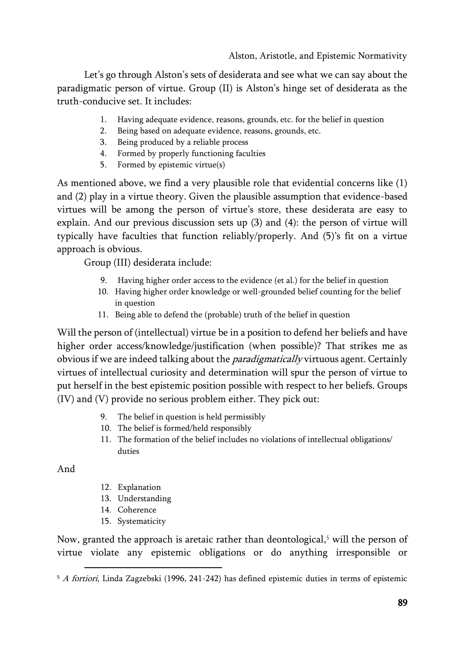Let's go through Alston's sets of desiderata and see what we can say about the paradigmatic person of virtue. Group (II) is Alston's hinge set of desiderata as the truth-conducive set. It includes:

- 1. Having adequate evidence, reasons, grounds, etc. for the belief in question
- 2. Being based on adequate evidence, reasons, grounds, etc.
- 3. Being produced by a reliable process
- 4. Formed by properly functioning faculties
- 5. Formed by epistemic virtue(s)

As mentioned above, we find a very plausible role that evidential concerns like (1) and (2) play in a virtue theory. Given the plausible assumption that evidence-based virtues will be among the person of virtue's store, these desiderata are easy to explain. And our previous discussion sets up (3) and (4): the person of virtue will typically have faculties that function reliably/properly. And (5)'s fit on a virtue approach is obvious.

Group (III) desiderata include:

- 9. Having higher order access to the evidence (et al.) for the belief in question
- 10. Having higher order knowledge or well-grounded belief counting for the belief in question
- 11. Being able to defend the (probable) truth of the belief in question

Will the person of (intellectual) virtue be in a position to defend her beliefs and have higher order access/knowledge/justification (when possible)? That strikes me as obvious if we are indeed talking about the *paradigmatically* virtuous agent. Certainly virtues of intellectual curiosity and determination will spur the person of virtue to put herself in the best epistemic position possible with respect to her beliefs. Groups (IV) and (V) provide no serious problem either. They pick out:

- 9. The belief in question is held permissibly
- 10. The belief is formed/held responsibly
- 11. The formation of the belief includes no violations of intellectual obligations/ duties

And

 $\overline{\phantom{a}}$ 

- 12. Explanation
- 13. Understanding
- 14. Coherence
- 15. Systematicity

Now, granted the approach is aretaic rather than deontological, <sup>5</sup> will the person of virtue violate any epistemic obligations or do anything irresponsible or

<sup>5</sup> A fortiori, Linda Zagzebski (1996, 241-242) has defined epistemic duties in terms of epistemic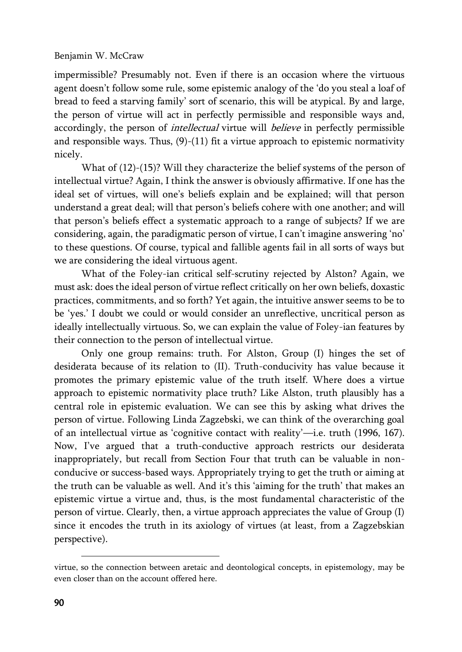impermissible? Presumably not. Even if there is an occasion where the virtuous agent doesn't follow some rule, some epistemic analogy of the 'do you steal a loaf of bread to feed a starving family' sort of scenario, this will be atypical. By and large, the person of virtue will act in perfectly permissible and responsible ways and, accordingly, the person of *intellectual* virtue will *believe* in perfectly permissible and responsible ways. Thus,  $(9)-(11)$  fit a virtue approach to epistemic normativity nicely.

What of (12)-(15)? Will they characterize the belief systems of the person of intellectual virtue? Again, I think the answer is obviously affirmative. If one has the ideal set of virtues, will one's beliefs explain and be explained; will that person understand a great deal; will that person's beliefs cohere with one another; and will that person's beliefs effect a systematic approach to a range of subjects? If we are considering, again, the paradigmatic person of virtue, I can't imagine answering 'no' to these questions. Of course, typical and fallible agents fail in all sorts of ways but we are considering the ideal virtuous agent.

What of the Foley-ian critical self-scrutiny rejected by Alston? Again, we must ask: does the ideal person of virtue reflect critically on her own beliefs, doxastic practices, commitments, and so forth? Yet again, the intuitive answer seems to be to be 'yes.' I doubt we could or would consider an unreflective, uncritical person as ideally intellectually virtuous. So, we can explain the value of Foley-ian features by their connection to the person of intellectual virtue.

Only one group remains: truth. For Alston, Group (I) hinges the set of desiderata because of its relation to (II). Truth-conducivity has value because it promotes the primary epistemic value of the truth itself. Where does a virtue approach to epistemic normativity place truth? Like Alston, truth plausibly has a central role in epistemic evaluation. We can see this by asking what drives the person of virtue. Following Linda Zagzebski, we can think of the overarching goal of an intellectual virtue as 'cognitive contact with reality'—i.e. truth (1996, 167). Now, I've argued that a truth-conductive approach restricts our desiderata inappropriately, but recall from Section Four that truth can be valuable in nonconducive or success-based ways. Appropriately trying to get the truth or aiming at the truth can be valuable as well. And it's this 'aiming for the truth' that makes an epistemic virtue a virtue and, thus, is the most fundamental characteristic of the person of virtue. Clearly, then, a virtue approach appreciates the value of Group (I) since it encodes the truth in its axiology of virtues (at least, from a Zagzebskian perspective).

 $\overline{\phantom{a}}$ 

virtue, so the connection between aretaic and deontological concepts, in epistemology, may be even closer than on the account offered here.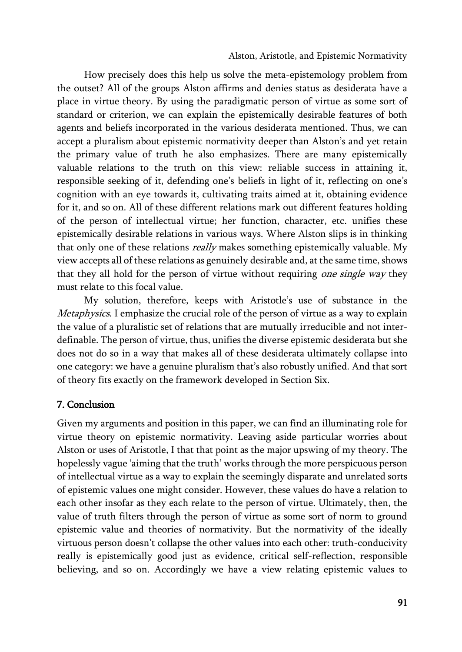How precisely does this help us solve the meta-epistemology problem from the outset? All of the groups Alston affirms and denies status as desiderata have a place in virtue theory. By using the paradigmatic person of virtue as some sort of standard or criterion, we can explain the epistemically desirable features of both agents and beliefs incorporated in the various desiderata mentioned. Thus, we can accept a pluralism about epistemic normativity deeper than Alston's and yet retain the primary value of truth he also emphasizes. There are many epistemically valuable relations to the truth on this view: reliable success in attaining it, responsible seeking of it, defending one's beliefs in light of it, reflecting on one's cognition with an eye towards it, cultivating traits aimed at it, obtaining evidence for it, and so on. All of these different relations mark out different features holding of the person of intellectual virtue; her function, character, etc. unifies these epistemically desirable relations in various ways. Where Alston slips is in thinking that only one of these relations really makes something epistemically valuable. My view accepts all of these relations as genuinely desirable and, at the same time, shows that they all hold for the person of virtue without requiring one single way they must relate to this focal value.

My solution, therefore, keeps with Aristotle's use of substance in the Metaphysics. I emphasize the crucial role of the person of virtue as a way to explain the value of a pluralistic set of relations that are mutually irreducible and not interdefinable. The person of virtue, thus, unifies the diverse epistemic desiderata but she does not do so in a way that makes all of these desiderata ultimately collapse into one category: we have a genuine pluralism that's also robustly unified. And that sort of theory fits exactly on the framework developed in Section Six.

## 7. Conclusion

Given my arguments and position in this paper, we can find an illuminating role for virtue theory on epistemic normativity. Leaving aside particular worries about Alston or uses of Aristotle, I that that point as the major upswing of my theory. The hopelessly vague 'aiming that the truth' works through the more perspicuous person of intellectual virtue as a way to explain the seemingly disparate and unrelated sorts of epistemic values one might consider. However, these values do have a relation to each other insofar as they each relate to the person of virtue. Ultimately, then, the value of truth filters through the person of virtue as some sort of norm to ground epistemic value and theories of normativity. But the normativity of the ideally virtuous person doesn't collapse the other values into each other: truth-conducivity really is epistemically good just as evidence, critical self-reflection, responsible believing, and so on. Accordingly we have a view relating epistemic values to